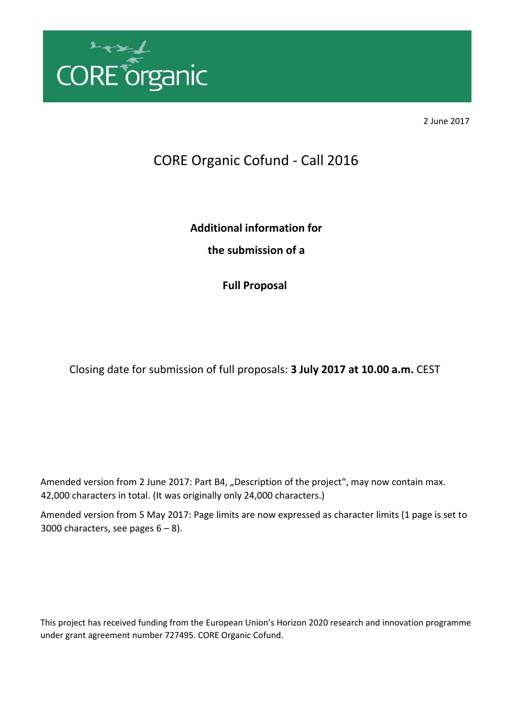

2 June 2017

# CORE Organic Cofund - Call 2016

**Additional information for the submission of a** 

**Full Proposal** 

Closing date for submission of full proposals: **3 July 2017 at 10.00 a.m.** CEST

Amended version from 2 June 2017: Part B4, "Description of the project", may now contain max. 42,000 characters in total. (It was originally only 24,000 characters.)

Amended version from 5 May 2017: Page limits are now expressed as character limits (1 page is set to 3000 characters, see pages  $6 - 8$ ).

This project has received funding from the European Union's Horizon 2020 research and innovation programme under grant agreement number 727495. CORE Organic Cofund.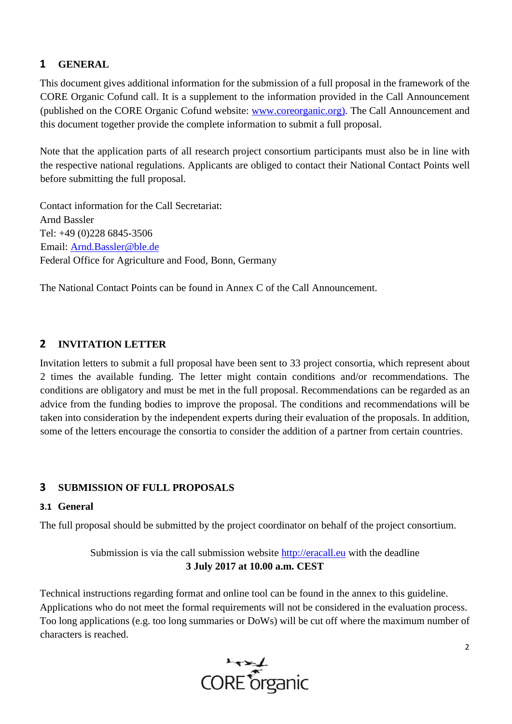# **1 GENERAL**

This document gives additional information for the submission of a full proposal in the framework of the CORE Organic Cofund call. It is a supplement to the information provided in the Call Announcement (published on the CORE Organic Cofund website: [www.coreorganic.org](http://www.coreorganic.org/)[\).](http://www.coreorganic.org/pdf/COPlus_GuidelineforApplicants_rev2_190214.pdf) The Call Announcement and this document together provide the complete information to submit a full proposal.

Note that the application parts of all research project consortium participants must also be in line with the respective national regulations. Applicants are obliged to contact their National Contact Points well before submitting the full proposal.

Contact information for the Call Secretariat: Arnd Bassler Tel: +49 (0)228 6845-3506 Email: Arnd.Bassler@ble.de Federal Office for Agriculture and Food, Bonn, Germany

The National Contact Points can be found in Annex C of the Call Announcement.

# **2 INVITATION LETTER**

Invitation letters to submit a full proposal have been sent to 33 project consortia, which represent about 2 times the available funding. The letter might contain conditions and/or recommendations. The conditions are obligatory and must be met in the full proposal. Recommendations can be regarded as an advice from the funding bodies to improve the proposal. The conditions and recommendations will be taken into consideration by the independent experts during their evaluation of the proposals. In addition, some of the letters encourage the consortia to consider the addition of a partner from certain countries.

# **3 SUBMISSION OF FULL PROPOSALS**

## **3.1 General**

The full proposal should be submitted by the project coordinator on behalf of the project consortium.

Submission is via the call submission website http://eracall.eu with the deadline **3 July 2017 at 10.00 a.m. CEST** 

Technical instructions regarding format and online tool can be found in the annex to this guideline. Applications who do not meet the formal requirements will not be considered in the evaluation process. Too long applications (e.g. too long summaries or DoWs) will be cut off where the maximum number of characters is reached.



2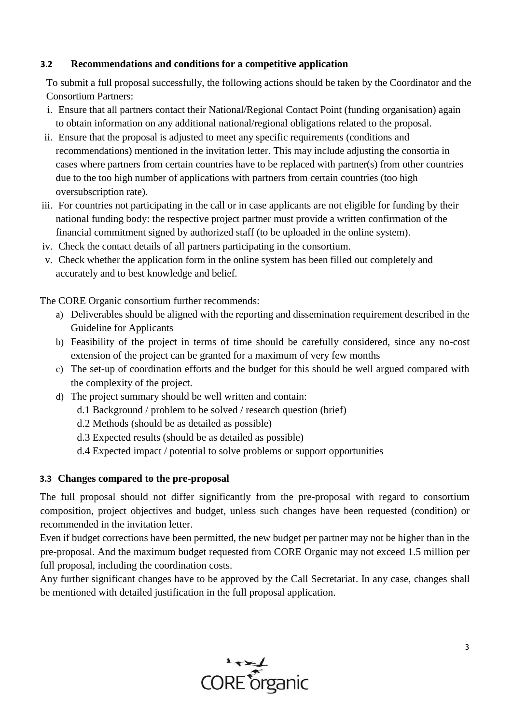## **3.2 Recommendations and conditions for a competitive application**

To submit a full proposal successfully, the following actions should be taken by the Coordinator and the Consortium Partners:

- i. Ensure that all partners contact their National/Regional Contact Point (funding organisation) again to obtain information on any additional national/regional obligations related to the proposal.
- ii. Ensure that the proposal is adjusted to meet any specific requirements (conditions and recommendations) mentioned in the invitation letter. This may include adjusting the consortia in cases where partners from certain countries have to be replaced with partner(s) from other countries due to the too high number of applications with partners from certain countries (too high oversubscription rate).
- iii. For countries not participating in the call or in case applicants are not eligible for funding by their national funding body: the respective project partner must provide a written confirmation of the financial commitment signed by authorized staff (to be uploaded in the online system).
- iv. Check the contact details of all partners participating in the consortium.
- v. Check whether the application form in the online system has been filled out completely and accurately and to best knowledge and belief.

The CORE Organic consortium further recommends:

- a) Deliverables should be aligned with the reporting and dissemination requirement described in the Guideline for Applicants
- b) Feasibility of the project in terms of time should be carefully considered, since any no-cost extension of the project can be granted for a maximum of very few months
- c) The set-up of coordination efforts and the budget for this should be well argued compared with the complexity of the project.
- d) The project summary should be well written and contain:
	- d.1 Background / problem to be solved / research question (brief)
	- d.2 Methods (should be as detailed as possible)
	- d.3 Expected results (should be as detailed as possible)
	- d.4 Expected impact / potential to solve problems or support opportunities

## **3.3 Changes compared to the pre-proposal**

The full proposal should not differ significantly from the pre-proposal with regard to consortium composition, project objectives and budget, unless such changes have been requested (condition) or recommended in the invitation letter.

Even if budget corrections have been permitted, the new budget per partner may not be higher than in the pre-proposal. And the maximum budget requested from CORE Organic may not exceed 1.5 million per full proposal, including the coordination costs.

Any further significant changes have to be approved by the Call Secretariat. In any case, changes shall be mentioned with detailed justification in the full proposal application.

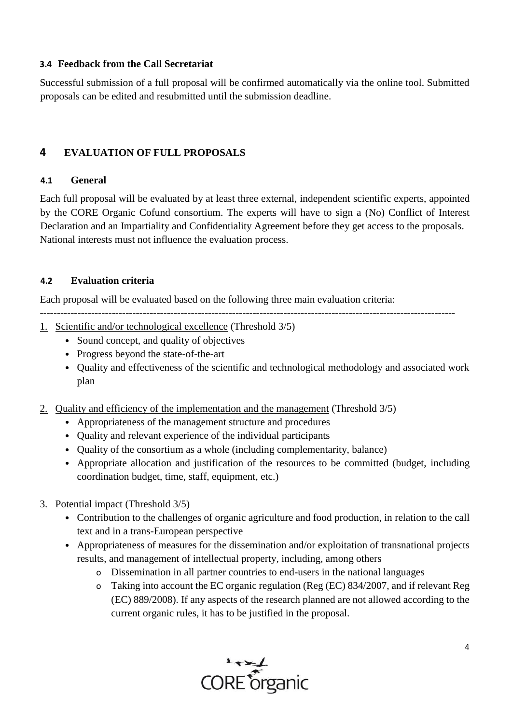## **3.4 Feedback from the Call Secretariat**

Successful submission of a full proposal will be confirmed automatically via the online tool. Submitted proposals can be edited and resubmitted until the submission deadline.

# **4 EVALUATION OF FULL PROPOSALS**

## **4.1 General**

Each full proposal will be evaluated by at least three external, independent scientific experts, appointed by the CORE Organic Cofund consortium. The experts will have to sign a (No) Conflict of Interest Declaration and an Impartiality and Confidentiality Agreement before they get access to the proposals. National interests must not influence the evaluation process.

## **4.2 Evaluation criteria**

Each proposal will be evaluated based on the following three main evaluation criteria:

- ------------------------------------------------------------------------------------------------------------------------- 1. Scientific and/or technological excellence (Threshold 3/5)
	- Sound concept, and quality of objectives
	- Progress beyond the state-of-the-art
	- Quality and effectiveness of the scientific and technological methodology and associated work plan
- 2. Quality and efficiency of the implementation and the management (Threshold 3/5)
	- Appropriateness of the management structure and procedures
	- Quality and relevant experience of the individual participants
	- Quality of the consortium as a whole (including complementarity, balance)
	- Appropriate allocation and justification of the resources to be committed (budget, including coordination budget, time, staff, equipment, etc.)
- 3. Potential impact (Threshold 3/5)
	- Contribution to the challenges of organic agriculture and food production, in relation to the call text and in a trans-European perspective
	- Appropriateness of measures for the dissemination and/or exploitation of transnational projects results, and management of intellectual property, including, among others
		- o Dissemination in all partner countries to end-users in the national languages
		- o Taking into account the EC organic regulation (Reg (EC) 834/2007, and if relevant Reg (EC) 889/2008). If any aspects of the research planned are not allowed according to the current organic rules, it has to be justified in the proposal.

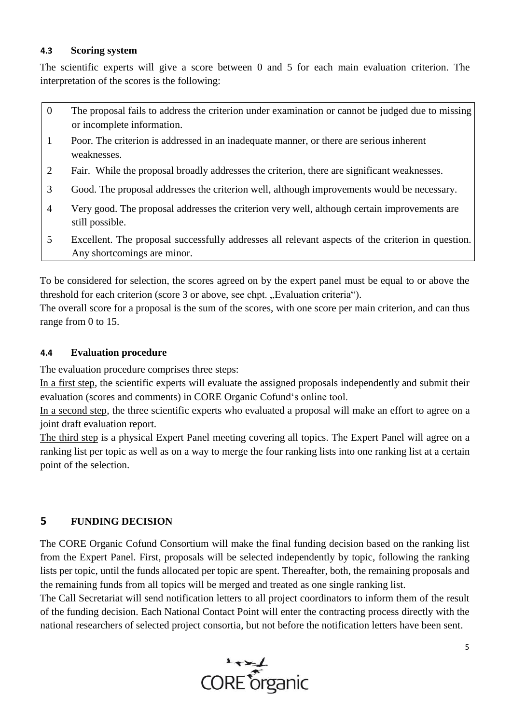## **4.3 Scoring system**

The scientific experts will give a score between 0 and 5 for each main evaluation criterion. The interpretation of the scores is the following:

- 0 The proposal fails to address the criterion under examination or cannot be judged due to missing or incomplete information.
- 1 Poor. The criterion is addressed in an inadequate manner, or there are serious inherent weaknesses.
- 2 Fair. While the proposal broadly addresses the criterion, there are significant weaknesses.
- 3 Good. The proposal addresses the criterion well, although improvements would be necessary.
- 4 Very good. The proposal addresses the criterion very well, although certain improvements are still possible.
- 5 Excellent. The proposal successfully addresses all relevant aspects of the criterion in question. Any shortcomings are minor.

To be considered for selection, the scores agreed on by the expert panel must be equal to or above the threshold for each criterion (score 3 or above, see chpt. "Evaluation criteria").

The overall score for a proposal is the sum of the scores, with one score per main criterion, and can thus range from 0 to 15.

## **4.4 Evaluation procedure**

The evaluation procedure comprises three steps:

In a first step, the scientific experts will evaluate the assigned proposals independently and submit their evaluation (scores and comments) in CORE Organic Cofund's online tool.

In a second step, the three scientific experts who evaluated a proposal will make an effort to agree on a joint draft evaluation report.

The third step is a physical Expert Panel meeting covering all topics. The Expert Panel will agree on a ranking list per topic as well as on a way to merge the four ranking lists into one ranking list at a certain point of the selection.

# **5 FUNDING DECISION**

The CORE Organic Cofund Consortium will make the final funding decision based on the ranking list from the Expert Panel. First, proposals will be selected independently by topic, following the ranking lists per topic, until the funds allocated per topic are spent. Thereafter, both, the remaining proposals and the remaining funds from all topics will be merged and treated as one single ranking list.

The Call Secretariat will send notification letters to all project coordinators to inform them of the result of the funding decision. Each National Contact Point will enter the contracting process directly with the national researchers of selected project consortia, but not before the notification letters have been sent.

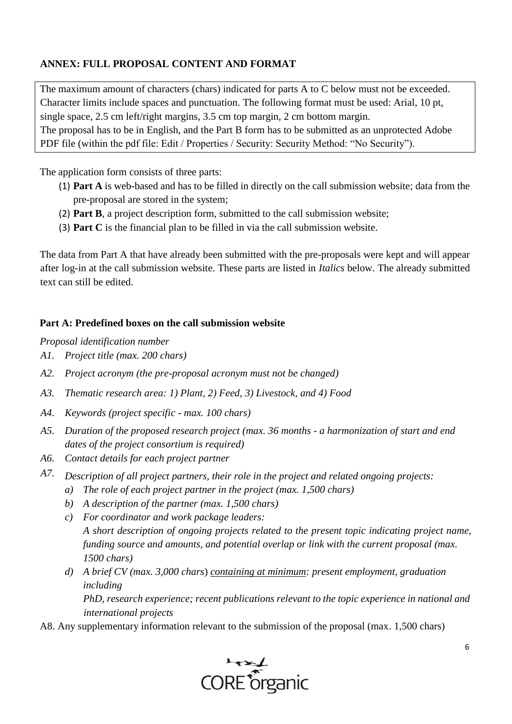# **ANNEX: FULL PROPOSAL CONTENT AND FORMAT**

The maximum amount of characters (chars) indicated for parts A to C below must not be exceeded. Character limits include spaces and punctuation. The following format must be used: Arial, 10 pt, single space, 2.5 cm left/right margins, 3.5 cm top margin, 2 cm bottom margin. The proposal has to be in English, and the Part B form has to be submitted as an unprotected Adobe PDF file (within the pdf file: Edit / Properties / Security: Security Method: "No Security").

The application form consists of three parts:

- (1) **Part A** is web-based and has to be filled in directly on the call submission website; data from the pre-proposal are stored in the system;
- (2) **Part B**, a project description form, submitted to the call submission website;
- (3) **Part C** is the financial plan to be filled in via the call submission website.

The data from Part A that have already been submitted with the pre-proposals were kept and will appear after log-in at the call submission website. These parts are listed in *Italics* below. The already submitted text can still be edited.

## **Part A: Predefined boxes on the call submission website**

*Proposal identification number* 

- *A1. Project title (max. 200 chars)*
- *A2. Project acronym (the pre-proposal acronym must not be changed)*
- *A3. Thematic research area: 1) Plant, 2) Feed, 3) Livestock, and 4) Food*
- *A4. Keywords (project specific - max. 100 chars)*
- *A5. Duration of the proposed research project (max. 36 months - a harmonization of start and end dates of the project consortium is required)*
- *A6. Contact details for each project partner*
- *A7. Description of all project partners, their role in the project and related ongoing projects:* 
	- *a) The role of each project partner in the project (max. 1,500 chars)*
	- *b) A description of the partner (max. 1,500 chars)*
	- *c) For coordinator and work package leaders: A short description of ongoing projects related to the present topic indicating project name, funding source and amounts, and potential overlap or link with the current proposal (max. 1500 chars)*
	- *d) A brief CV (max. 3,000 chars*) *containing at minimum: present employment, graduation including PhD, research experience; recent publications relevant to the topic experience in national and international projects*

A8. Any supplementary information relevant to the submission of the proposal (max. 1,500 chars)

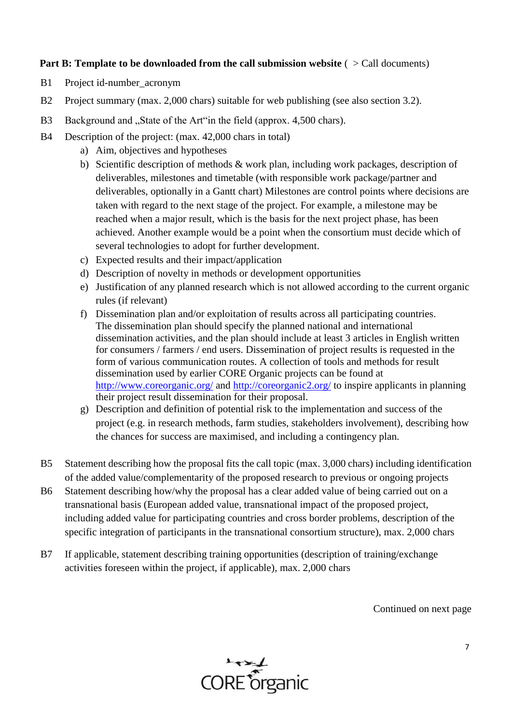## **Part B: Template to be downloaded from the call submission website** ( $\ge$  Call documents)

- B1 Project id-number acronym
- B2 Project summary (max. 2,000 chars) suitable for web publishing (see also section 3.2).
- B3 Background and "State of the Art"in the field (approx. 4,500 chars).
- B4 Description of the project: (max. 42,000 chars in total)
	- a) Aim, objectives and hypotheses
	- b) Scientific description of methods  $&$  work plan, including work packages, description of deliverables, milestones and timetable (with responsible work package/partner and deliverables, optionally in a Gantt chart) Milestones are control points where decisions are taken with regard to the next stage of the project. For example, a milestone may be reached when a major result, which is the basis for the next project phase, has been achieved. Another example would be a point when the consortium must decide which of several technologies to adopt for further development.
	- c) Expected results and their impact/application
	- d) Description of novelty in methods or development opportunities
	- e) Justification of any planned research which is not allowed according to the current organic rules (if relevant)
	- f) Dissemination plan and/or exploitation of results across all participating countries. The dissemination plan should specify the planned national and international dissemination activities, and the plan should include at least 3 articles in English written for consumers / farmers / end users. Dissemination of project results is requested in the form of various communication routes. A collection of tools and methods for result dissemination used by earlier CORE Organic projects can be found at http://www<u>.coreorganic.org/</u> and<http://coreorganic2.org/> to inspire applicants in planning their project result dissemination for their proposal.
	- g) Description and definition of potential risk to the implementation and success of the project (e.g. in research methods, farm studies, stakeholders involvement), describing how the chances for success are maximised, and including a contingency plan.
- B5 Statement describing how the proposal fits the call topic (max. 3,000 chars) including identification of the added value/complementarity of the proposed research to previous or ongoing projects
- B6 Statement describing how/why the proposal has a clear added value of being carried out on a transnational basis (European added value, transnational impact of the proposed project, including added value for participating countries and cross border problems, description of the specific integration of participants in the transnational consortium structure), max. 2,000 chars
- B7 If applicable, statement describing training opportunities (description of training/exchange activities foreseen within the project, if applicable), max. 2,000 chars

Continued on next page